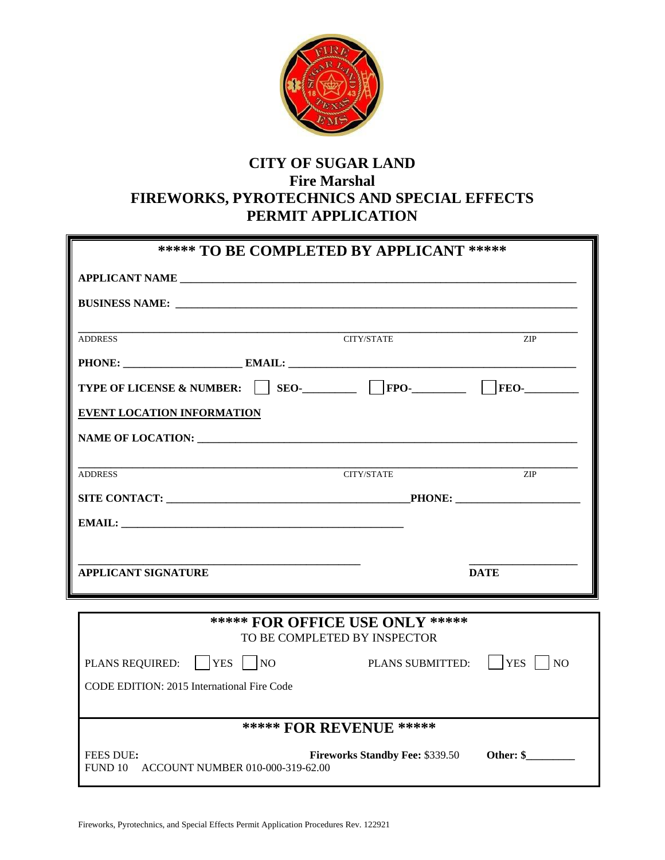

# **CITY OF SUGAR LAND Fire Marshal FIREWORKS, PYROTECHNICS AND SPECIAL EFFECTS PERMIT APPLICATION**

| ***** TO BE COMPLETED BY APPLICANT ***** |                   |             |  |  |
|------------------------------------------|-------------------|-------------|--|--|
|                                          |                   |             |  |  |
|                                          |                   |             |  |  |
| <b>ADDRESS</b>                           | CITY/STATE        | ZIP         |  |  |
|                                          |                   |             |  |  |
|                                          |                   |             |  |  |
| EVENT LOCATION INFORMATION               |                   |             |  |  |
|                                          |                   |             |  |  |
| <b>ADDRESS</b>                           | <b>CITY/STATE</b> | <b>ZIP</b>  |  |  |
|                                          |                   |             |  |  |
|                                          |                   |             |  |  |
|                                          |                   |             |  |  |
| <b>APPLICANT SIGNATURE</b>               |                   | <b>DATE</b> |  |  |

| <b>***** FOR OFFICE USE ONLY *****</b><br>TO BE COMPLETED BY INSPECTOR |                                  |                                        |                                 |  |  |
|------------------------------------------------------------------------|----------------------------------|----------------------------------------|---------------------------------|--|--|
| PLANS REQUIRED:                                                        | $ $ YES<br> NO                   | PLANS SUBMITTED:                       | $ {\rm YES} $<br>N <sub>O</sub> |  |  |
| CODE EDITION: 2015 International Fire Code                             |                                  |                                        |                                 |  |  |
|                                                                        |                                  |                                        |                                 |  |  |
| <b>***** FOR REVENUE ******</b>                                        |                                  |                                        |                                 |  |  |
| <b>FEES DUE:</b><br>FUND 10                                            | ACCOUNT NUMBER 010-000-319-62.00 | <b>Fireworks Standby Fee: \$339.50</b> | Other: \$                       |  |  |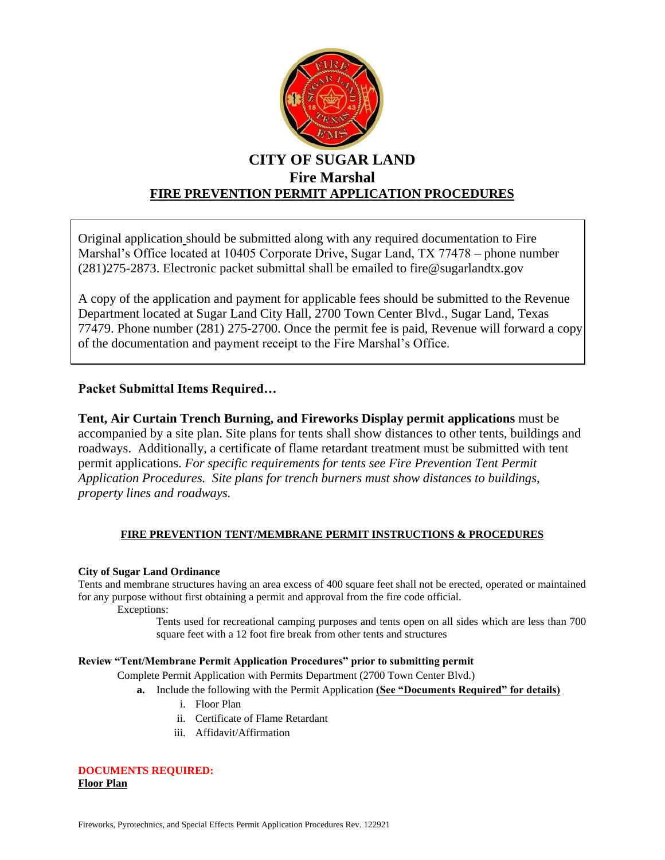

## **CITY OF SUGAR LAND Fire Marshal FIRE PREVENTION PERMIT APPLICATION PROCEDURES**

Original application should be submitted along with any required documentation to Fire Marshal's Office located at 10405 Corporate Drive, Sugar Land, TX 77478 – phone number (281)275-2873. Electronic packet submittal shall be emailed to fire@sugarlandtx.gov

A copy of the application and payment for applicable fees should be submitted to the Revenue Department located at Sugar Land City Hall, 2700 Town Center Blvd., Sugar Land, Texas 77479. Phone number (281) 275-2700. Once the permit fee is paid, Revenue will forward a copy of the documentation and payment receipt to the Fire Marshal's Office.

## **Packet Submittal Items Required…**

**Tent, Air Curtain Trench Burning, and Fireworks Display permit applications** must be accompanied by a site plan. Site plans for tents shall show distances to other tents, buildings and roadways. Additionally, a certificate of flame retardant treatment must be submitted with tent permit applications. *For specific requirements for tents see Fire Prevention Tent Permit Application Procedures. Site plans for trench burners must show distances to buildings, property lines and roadways.*

## **FIRE PREVENTION TENT/MEMBRANE PERMIT INSTRUCTIONS & PROCEDURES**

## **City of Sugar Land Ordinance**

Tents and membrane structures having an area excess of 400 square feet shall not be erected, operated or maintained for any purpose without first obtaining a permit and approval from the fire code official.

Exceptions:

Tents used for recreational camping purposes and tents open on all sides which are less than 700 square feet with a 12 foot fire break from other tents and structures

## **Review "Tent/Membrane Permit Application Procedures" prior to submitting permit**

Complete Permit Application with Permits Department (2700 Town Center Blvd.)

- **a.** Include the following with the Permit Application **(See "Documents Required" for details)**
	- i. Floor Plan
	- ii. Certificate of Flame Retardant
	- iii. Affidavit/Affirmation

#### **DOCUMENTS REQUIRED: Floor Plan**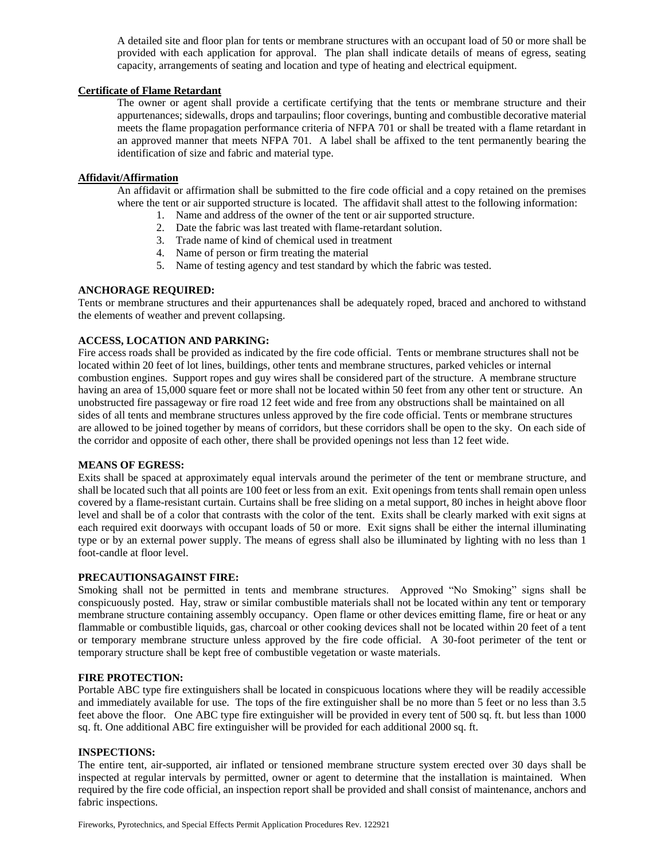A detailed site and floor plan for tents or membrane structures with an occupant load of 50 or more shall be provided with each application for approval. The plan shall indicate details of means of egress, seating capacity, arrangements of seating and location and type of heating and electrical equipment.

#### **Certificate of Flame Retardant**

The owner or agent shall provide a certificate certifying that the tents or membrane structure and their appurtenances; sidewalls, drops and tarpaulins; floor coverings, bunting and combustible decorative material meets the flame propagation performance criteria of NFPA 701 or shall be treated with a flame retardant in an approved manner that meets NFPA 701. A label shall be affixed to the tent permanently bearing the identification of size and fabric and material type.

#### **Affidavit/Affirmation**

An affidavit or affirmation shall be submitted to the fire code official and a copy retained on the premises where the tent or air supported structure is located. The affidavit shall attest to the following information:

- 1. Name and address of the owner of the tent or air supported structure.
- 2. Date the fabric was last treated with flame-retardant solution.
- 3. Trade name of kind of chemical used in treatment
- 4. Name of person or firm treating the material
- 5. Name of testing agency and test standard by which the fabric was tested.

## **ANCHORAGE REQUIRED:**

Tents or membrane structures and their appurtenances shall be adequately roped, braced and anchored to withstand the elements of weather and prevent collapsing.

## **ACCESS, LOCATION AND PARKING:**

Fire access roads shall be provided as indicated by the fire code official. Tents or membrane structures shall not be located within 20 feet of lot lines, buildings, other tents and membrane structures, parked vehicles or internal combustion engines. Support ropes and guy wires shall be considered part of the structure. A membrane structure having an area of 15,000 square feet or more shall not be located within 50 feet from any other tent or structure. An unobstructed fire passageway or fire road 12 feet wide and free from any obstructions shall be maintained on all sides of all tents and membrane structures unless approved by the fire code official. Tents or membrane structures are allowed to be joined together by means of corridors, but these corridors shall be open to the sky. On each side of the corridor and opposite of each other, there shall be provided openings not less than 12 feet wide.

#### **MEANS OF EGRESS:**

Exits shall be spaced at approximately equal intervals around the perimeter of the tent or membrane structure, and shall be located such that all points are 100 feet or less from an exit. Exit openings from tents shall remain open unless covered by a flame-resistant curtain. Curtains shall be free sliding on a metal support, 80 inches in height above floor level and shall be of a color that contrasts with the color of the tent. Exits shall be clearly marked with exit signs at each required exit doorways with occupant loads of 50 or more. Exit signs shall be either the internal illuminating type or by an external power supply. The means of egress shall also be illuminated by lighting with no less than 1 foot-candle at floor level.

#### **PRECAUTIONSAGAINST FIRE:**

Smoking shall not be permitted in tents and membrane structures. Approved "No Smoking" signs shall be conspicuously posted. Hay, straw or similar combustible materials shall not be located within any tent or temporary membrane structure containing assembly occupancy. Open flame or other devices emitting flame, fire or heat or any flammable or combustible liquids, gas, charcoal or other cooking devices shall not be located within 20 feet of a tent or temporary membrane structure unless approved by the fire code official. A 30-foot perimeter of the tent or temporary structure shall be kept free of combustible vegetation or waste materials.

#### **FIRE PROTECTION:**

Portable ABC type fire extinguishers shall be located in conspicuous locations where they will be readily accessible and immediately available for use. The tops of the fire extinguisher shall be no more than 5 feet or no less than 3.5 feet above the floor. One ABC type fire extinguisher will be provided in every tent of 500 sq. ft. but less than 1000 sq. ft. One additional ABC fire extinguisher will be provided for each additional 2000 sq. ft.

#### **INSPECTIONS:**

The entire tent, air-supported, air inflated or tensioned membrane structure system erected over 30 days shall be inspected at regular intervals by permitted, owner or agent to determine that the installation is maintained. When required by the fire code official, an inspection report shall be provided and shall consist of maintenance, anchors and fabric inspections.